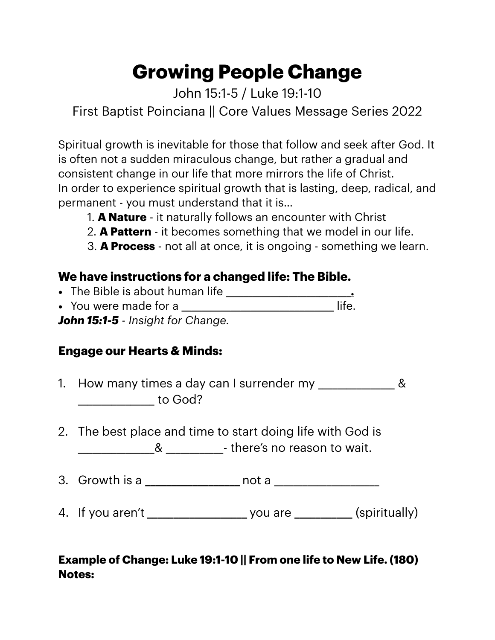# **Growing People Change**

John 15:1-5 / Luke 19:1-10 First Baptist Poinciana || Core Values Message Series 2022

Spiritual growth is inevitable for those that follow and seek after God. It is often not a sudden miraculous change, but rather a gradual and consistent change in our life that more mirrors the life of Christ. In order to experience spiritual growth that is lasting, deep, radical, and permanent - you must understand that it is…

- 1. **A Nature** it naturally follows an encounter with Christ
- 2. **A Pattern** it becomes something that we model in our life.
- 3. **A Process** not all at once, it is ongoing something we learn.

## **We have instructions for a changed life: The Bible.**

- The Bible is about human life \_\_\_\_\_\_\_\_\_\_\_\_\_\_\_\_\_\_\_\_\_\_\_\_\_\_\_\_**.**
- You were made for a **\_\_\_\_\_\_\_\_\_\_\_\_\_\_\_\_\_\_\_\_\_\_\_\_\_\_\_\_\_\_\_** life.

*John 15:1-5 - Insight for Change.* 

## **Engage our Hearts & Minds:**

- 1. How many times a day can I surrender my \_\_\_\_\_\_\_\_\_\_\_\_\_\_\_ & \_\_\_\_\_\_\_\_\_\_\_\_\_\_\_\_ to God?
- 2. The best place and time to start doing life with God is **Example 12** and 2 and 2 and 2 and 2 and 2 and 2 and 2 and 2 and 2 and 2 and 2 and 2 and 2 and 2 and 2 and 2 and 2 and 2 and 2 and 2 and 2 and 2 and 2 and 2 and 2 and 2 and 2 and 2 and 2 and 2 and 2 and 2 and 2 and 2 and 2
- 3. Growth is a **\_\_\_\_\_\_\_\_\_\_\_\_\_\_\_\_\_\_** not a \_\_\_\_\_\_\_\_\_\_\_\_\_\_\_\_\_\_\_\_\_\_
- 4. If you aren't **\_\_\_\_\_\_\_\_\_\_\_\_\_\_\_\_\_\_\_** you are **\_\_\_\_\_\_\_\_\_\_\_** (spiritually)

## **Example of Change: Luke 19:1-10 || From one life to New Life. (180) Notes:**